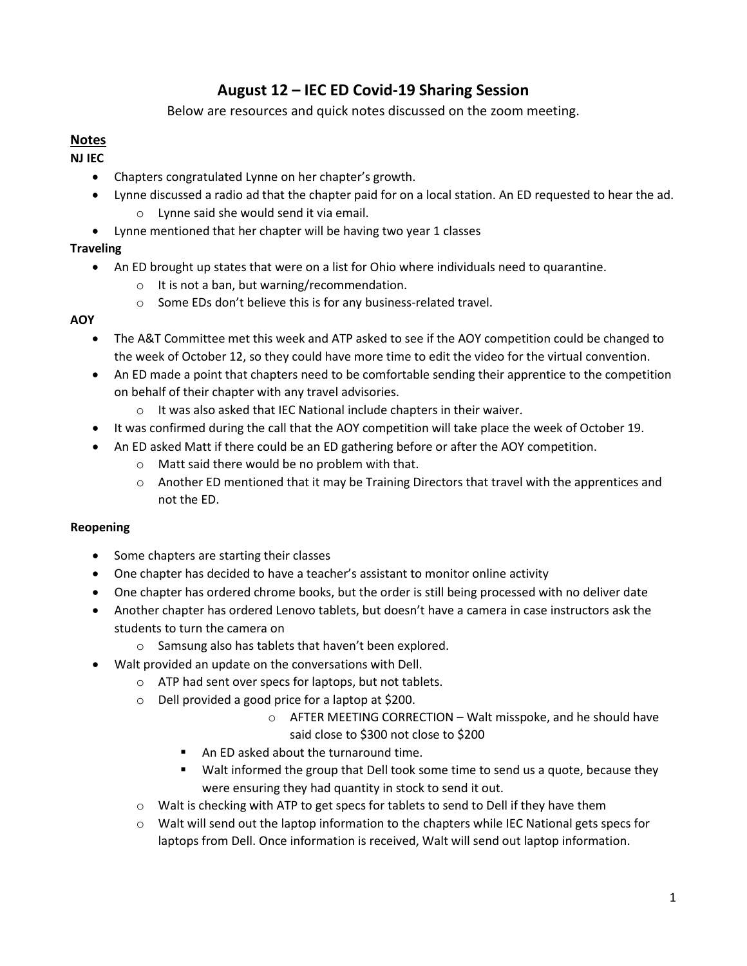# **August 12 – IEC ED Covid-19 Sharing Session**

Below are resources and quick notes discussed on the zoom meeting.

## **Notes**

**NJ IEC**

- Chapters congratulated Lynne on her chapter's growth.
- Lynne discussed a radio ad that the chapter paid for on a local station. An ED requested to hear the ad. o Lynne said she would send it via email.
- Lynne mentioned that her chapter will be having two year 1 classes

#### **Traveling**

- An ED brought up states that were on a list for Ohio where individuals need to quarantine.
	- o It is not a ban, but warning/recommendation.
	- o Some EDs don't believe this is for any business-related travel.

#### **AOY**

- The A&T Committee met this week and ATP asked to see if the AOY competition could be changed to the week of October 12, so they could have more time to edit the video for the virtual convention.
- An ED made a point that chapters need to be comfortable sending their apprentice to the competition on behalf of their chapter with any travel advisories.
	- o It was also asked that IEC National include chapters in their waiver.
- It was confirmed during the call that the AOY competition will take place the week of October 19.
- An ED asked Matt if there could be an ED gathering before or after the AOY competition.
	- o Matt said there would be no problem with that.
	- o Another ED mentioned that it may be Training Directors that travel with the apprentices and not the ED.

#### **Reopening**

- Some chapters are starting their classes
- One chapter has decided to have a teacher's assistant to monitor online activity
- One chapter has ordered chrome books, but the order is still being processed with no deliver date
- Another chapter has ordered Lenovo tablets, but doesn't have a camera in case instructors ask the students to turn the camera on
	- o Samsung also has tablets that haven't been explored.
- Walt provided an update on the conversations with Dell.
	- o ATP had sent over specs for laptops, but not tablets.
	- o Dell provided a good price for a laptop at \$200.
		- o AFTER MEETING CORRECTION Walt misspoke, and he should have said close to \$300 not close to \$200
		- An ED asked about the turnaround time.
		- **Walt informed the group that Dell took some time to send us a quote, because they** were ensuring they had quantity in stock to send it out.
	- o Walt is checking with ATP to get specs for tablets to send to Dell if they have them
	- o Walt will send out the laptop information to the chapters while IEC National gets specs for laptops from Dell. Once information is received, Walt will send out laptop information.